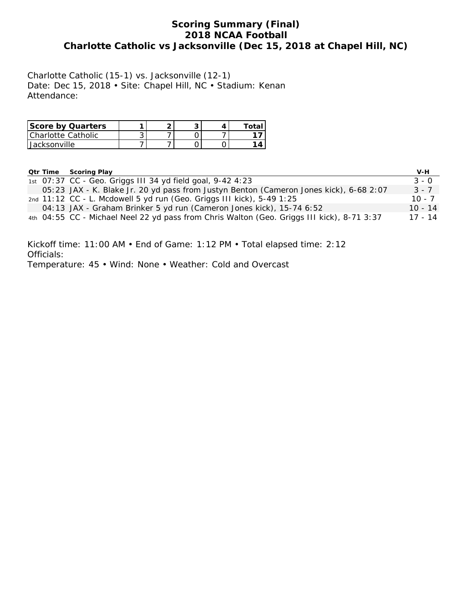## **Scoring Summary (Final) 2018 NCAA Football Charlotte Catholic vs Jacksonville (Dec 15, 2018 at Chapel Hill, NC)**

Charlotte Catholic (15-1) vs. Jacksonville (12-1) Date: Dec 15, 2018 • Site: Chapel Hill, NC • Stadium: Kenan Attendance:

| Score by Quarters  |  | ◠ |  |
|--------------------|--|---|--|
| Charlotte Catholic |  |   |  |
| Jacksonville       |  |   |  |

|  | <b>Qtr Time Scoring Play</b>                                                               | V-H       |
|--|--------------------------------------------------------------------------------------------|-----------|
|  | 1st 07:37 CC - Geo. Griggs III 34 yd field goal, 9-42 4:23                                 | $3 - 0$   |
|  | 05:23 JAX - K. Blake Jr. 20 yd pass from Justyn Benton (Cameron Jones kick), 6-68 2:07     | $3 - 7$   |
|  | 2nd 11:12 CC - L. Mcdowell 5 yd run (Geo. Griggs III kick), 5-49 1:25                      | $10 - 7$  |
|  | 04:13 JAX - Graham Brinker 5 yd run (Cameron Jones kick), 15-74 6:52                       | $10 - 14$ |
|  | 4th 04:55 CC - Michael Neel 22 yd pass from Chris Walton (Geo. Griggs III kick), 8-71 3:37 | $17 - 14$ |

Kickoff time: 11:00 AM • End of Game: 1:12 PM • Total elapsed time: 2:12 Officials: Temperature: 45 • Wind: None • Weather: Cold and Overcast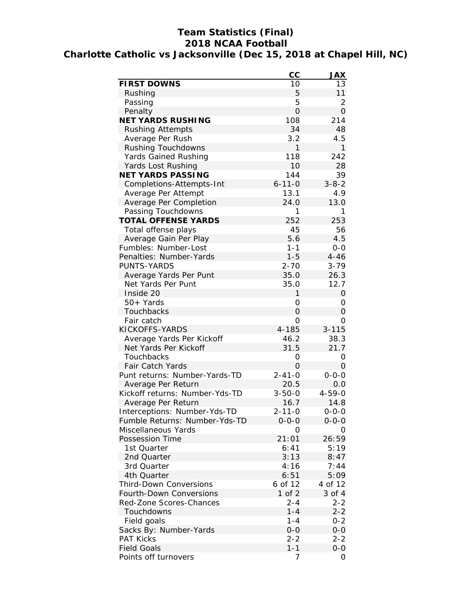# **Team Statistics (Final) 2018 NCAA Football Charlotte Catholic vs Jacksonville (Dec 15, 2018 at Chapel Hill, NC)**

|                                | CC             | <b>JAX</b>     |
|--------------------------------|----------------|----------------|
| FIRST DOWNS                    | 10             | 13             |
| Rushing                        | 5              | 11             |
| Passing                        | 5              | 2              |
| Penalty                        | $\overline{O}$ | $\overline{O}$ |
| NET YARDS RUSHING              | 108            | 214            |
| <b>Rushing Attempts</b>        | 34             | 48             |
| Average Per Rush               | 3.2            | 4.5            |
| Rushing Touchdowns             | 1              | 1              |
| Yards Gained Rushing           | 118            | 242            |
| Yards Lost Rushing             | 10             | 28             |
| NET YARDS PASSING              | 144            | 39             |
| Completions-Attempts-Int       | $6 - 11 - 0$   | $3 - 8 - 2$    |
| Average Per Attempt            | 13.1           | 4.9            |
| Average Per Completion         | 24.0           | 13.0           |
| Passing Touchdowns             | 1              | 1              |
| TOTAL OFFENSE YARDS            | 252            | 253            |
| Total offense plays            | 45             | 56             |
| Average Gain Per Play          | 5.6            | 4.5            |
| Fumbles: Number-Lost           | $1 - 1$        | $0-0$          |
| Penalties: Number-Yards        | $1 - 5$        | $4 - 46$       |
| <b>PUNTS-YARDS</b>             | $2 - 70$       | $3 - 79$       |
| Average Yards Per Punt         | 35.0           | 26.3           |
| Net Yards Per Punt             | 35.0           | 12.7           |
| Inside 20                      | 1              | $\overline{O}$ |
| $50+$ Yards                    | 0              | 0              |
| Touchbacks                     | O              | $\overline{O}$ |
| Fair catch                     | 0              | Ο              |
| KICKOFFS-YARDS                 | $4 - 185$      | $3 - 115$      |
| Average Yards Per Kickoff      | 46.2           | 38.3           |
| Net Yards Per Kickoff          | 31.5           | 21.7           |
| Touchbacks                     | 0              | 0              |
| Fair Catch Yards               | 0              | $\overline{O}$ |
| Punt returns: Number-Yards-TD  | $2 - 41 - 0$   | $0 - 0 - 0$    |
| Average Per Return             | 20.5           | 0.0            |
| Kickoff returns: Number-Yds-TD | $3 - 50 - 0$   | $4 - 59 - 0$   |
| Average Per Return             | 16.7           | 14.8           |
| Interceptions: Number-Yds-TD   | 2-11-0         | $0 - 0 - 0$    |
| Fumble Returns: Number-Yds-TD  | 0-0-0          | $0 - 0 - 0$    |
| Miscellaneous Yards            | O              | Ο              |
| Possession Time                | 21:01          | 26:59          |
| 1st Quarter                    | 6:41           | 5:19           |
|                                | 3:13           |                |
| 2nd Quarter                    | 4:16           | 8:47<br>7:44   |
| 3rd Quarter<br>4th Quarter     |                |                |
|                                | 6:51           | 5:09           |
| Third-Down Conversions         | 6 of 12        | 4 of 12        |
| Fourth-Down Conversions        | $1$ of $2$     | 3 of 4         |
| Red-Zone Scores-Chances        | $2 - 4$        | $2 - 2$        |
| Touchdowns                     | $1 - 4$        | $2 - 2$        |
| Field goals                    | $1 - 4$        | $0 - 2$        |
| Sacks By: Number-Yards         | $O-O$          | $0 - 0$        |
| <b>PAT Kicks</b>               | $2 - 2$        | $2 - 2$        |
| <b>Field Goals</b>             | $1 - 1$        | $0 - 0$        |
| Points off turnovers           | 7              | 0              |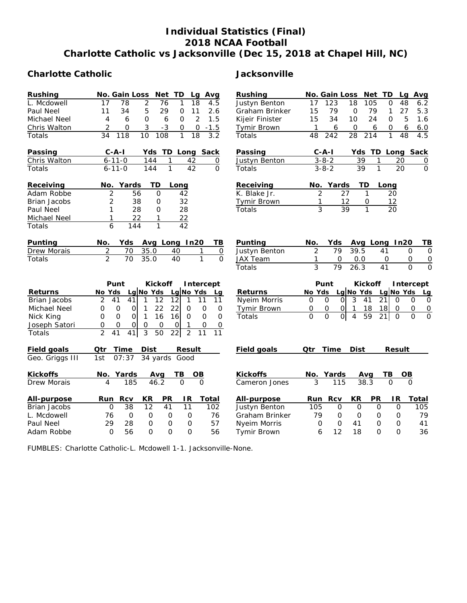# **Individual Statistics (Final) 2018 NCAA Football Charlotte Catholic vs Jacksonville (Dec 15, 2018 at Chapel Hill, NC)**

## **Charlotte Catholic Jacksonville**

| Rushing             | Net<br>No. Gain Loss<br>TD<br>Avg<br>Lg                                                       | Rushing             | No. Gain Loss<br>Net TD<br>Avg<br>Lq                                                                           |
|---------------------|-----------------------------------------------------------------------------------------------|---------------------|----------------------------------------------------------------------------------------------------------------|
| L. Mcdowell         | 17<br>$\overline{78}$<br>$\overline{2}$<br>76<br>$\mathbf{1}$<br>18<br>4.5                    | Justyn Benton       | 17<br>123<br>18<br>105<br>48<br>O<br>6.2                                                                       |
| Paul Neel           | 34<br>5<br>29<br>11<br>11<br>2.6<br>0                                                         | Graham Brinker      | 79<br>27<br>5.3<br>15<br>79<br>$\overline{O}$<br>1                                                             |
| Michael Neel        | $\overline{2}$<br>4<br>6<br>$\mathbf{O}$<br>6<br>$\mathbf{O}$<br>1.5                          | Kijeir Finister     | 15<br>34<br>24<br>5<br>1.6<br>10<br>O                                                                          |
| Chris Walton        | 2<br>$-3$<br>0<br>3<br>$-1.5$<br>0<br>0                                                       | Tymir Brown         | 6<br>1<br>$\mathbf{O}$<br>6<br>$6.0$<br>6<br>0                                                                 |
| Totals              | $\overline{10}$<br>108<br>$\overline{3.2}$<br>34<br>118<br>$\mathbf{1}$<br>18                 | Totals              | 48<br>242<br>28<br>214<br>$\mathbf{1}$<br>48<br>4.5                                                            |
| Passing             | $C - A - I$<br>Yds TD Long Sack                                                               | Passing             | $C - A - I$<br>Yds TD Long Sack                                                                                |
| Chris Walton        | $6 - 11 - 0$<br>144<br>1<br>42<br>0                                                           | Justyn Benton       | $3 - 8 - 2$<br>39<br>20<br>1<br>$\overline{o}$                                                                 |
| Totals              | $\mathbf{1}$<br>42<br>$\Omega$<br>$6 - 11 - 0$<br>144                                         | Totals              | $\overline{O}$<br>39<br>$\mathbf{1}$<br>$\overline{20}$<br>$3 - 8 - 2$                                         |
| Receiving           | Yards<br>ТD<br>No.<br>Long                                                                    | Receiving           | No. Yards<br>TD<br>Long                                                                                        |
| Adam Robbe          | 2<br>56<br>$\Omega$<br>42                                                                     | K. Blake Jr.        | 27<br>$\overline{2}$<br>20<br>$\mathbf{1}$                                                                     |
| Brian Jacobs        | $\overline{2}$<br>32<br>38<br>O                                                               | <b>Tymir Brown</b>  | 12<br>12<br>1<br>0                                                                                             |
| Paul Neel           | 1<br>28<br>28<br>O                                                                            | Totals              | 3<br>39<br>1<br>20                                                                                             |
| Michael Neel        | 22<br>22<br>1<br>1                                                                            |                     |                                                                                                                |
| Totals              | $\mathbf{1}$<br>42<br>6<br>144                                                                |                     |                                                                                                                |
| Punting             | Avg Long In20<br>No.<br>Yds<br>ΤB                                                             | Punting             | No.<br>Yds<br>Avg Long In20<br>ΤB                                                                              |
| Drew Morais         | $\overline{2}$<br>35.0<br>40 <sup>7</sup><br>$\mathbf{1}$<br>70<br>$\mathsf{O}\xspace$        | Justyn Benton       | 79<br>$\overline{2}$<br>39.5<br>41<br>$\Omega$<br>0                                                            |
| Totals              | $\overline{2}$<br>$\overline{70}$<br>35.0<br>$\mathbf{1}$<br>40<br>$\Omega$                   | <b>JAX Team</b>     | 0.0<br>1<br>$\Omega$<br>$\Omega$<br>$\mathbf{O}$<br>0                                                          |
|                     |                                                                                               | Totals              | 3<br>79<br>26.3<br>41<br>$\Omega$<br>O                                                                         |
|                     | Punt<br>Kickoff<br>Intercept                                                                  |                     | Kickoff<br>Punt<br>Intercept                                                                                   |
| Returns             | Lg No Yds<br>Lg No Yds<br>No Yds<br>Lq                                                        | Returns             | No Yds<br>Lg No Yds<br>Lg No Yds<br>Lg                                                                         |
| <b>Brian Jacobs</b> | $\overline{2}$<br>41<br>41<br>1<br>12<br>12<br>1<br>11<br>11                                  | Nyeim Morris        | 3<br>21<br>$\mathbf 0$<br>$\Omega$<br>41<br>$\Omega$<br>$\Omega$<br>$\Omega$<br>$\mathcal{O}$                  |
| Michael Neel        | 22<br>22<br>0<br>0<br>$\circ$<br>1<br>$\Omega$<br>$\Omega$<br>$\circ$                         | <b>Tymir Brown</b>  | 0<br>1<br>18<br>18<br>0<br>$\mathsf O$<br>0<br>0<br>$\Omega$                                                   |
| Nick King           | $\mathsf{O}$<br>$\Omega$<br>$\mathbf{1}$<br>16<br>16<br>$\Omega$<br>$\Omega$<br>0<br>$\Omega$ | Totals              | $\Omega$<br>$\Omega$<br>$\overline{0}$<br>$\overline{O}$<br>59<br>21<br>$\Omega$<br>$\Omega$<br>$\overline{4}$ |
| Joseph Satori       | $\overline{O}$<br>$\mathbf 0$<br>0<br>$\Omega$<br>$\mathbf{O}$<br>0<br>1<br>O<br>0            |                     |                                                                                                                |
| Totals              | $\overline{2}$<br>$\overline{3}$<br>$\overline{2}$<br>50<br>41<br>41<br>22<br>11<br>11        |                     |                                                                                                                |
| Field goals         | Qtr<br>Time<br>Dist<br>Result                                                                 | Field goals         | Time<br>Dist<br>Qtr<br>Result                                                                                  |
| Geo. Griggs III     | 07:37<br>34 yards<br>1st<br>Good                                                              |                     |                                                                                                                |
| Kickoffs            | Yards<br>OB<br>No.<br>TВ<br>Avg                                                               | Kickoffs            | Yards<br>TВ<br>No.<br>OВ<br>Avg                                                                                |
| Drew Morais         | $\Omega$<br>185<br>46.2<br>$\Omega$<br>4                                                      | Cameron Jones       | 3<br>115<br>38.3<br>$\Omega$<br>$\Omega$                                                                       |
| All-purpose         | Rcv<br>KR<br><b>PR</b><br>IR.<br>Total<br>Run                                                 | All-purpose         | Rcv<br>KR<br><b>PR</b><br>IR<br>Total<br>Run                                                                   |
| Brian Jacobs        | 12<br>38<br>41<br>11<br>102<br>$\Omega$                                                       | Justyn Benton       | $\Omega$<br>$\mathsf{O}$<br>105<br>$\mathbf{O}$<br>$\Omega$<br>105                                             |
| L. Mcdowell         | 76<br>$\overline{O}$<br>$\mathbf{O}$<br>$\mathsf{O}$<br>$\circ$<br>76                         | Graham Brinker      | 79<br>$\overline{O}$<br>O<br>$\mathbf{O}$<br>79<br>0                                                           |
| Paul Neel           | 29<br>28<br>$\mathsf{O}$<br>57<br>$\Omega$<br>0                                               | <b>Nyeim Morris</b> | $\Omega$<br>41<br>41<br>0<br>$\Omega$<br>$\mathbf{O}$                                                          |
| Adam Robbe          | 56<br>$\Omega$<br>$\Omega$<br>$\Omega$<br>56<br>$\Omega$                                      | Tymir Brown         | 18<br>12<br>$\Omega$<br>$\Omega$<br>36<br>6                                                                    |

FUMBLES: Charlotte Catholic-L. Mcdowell 1-1. Jacksonville-None.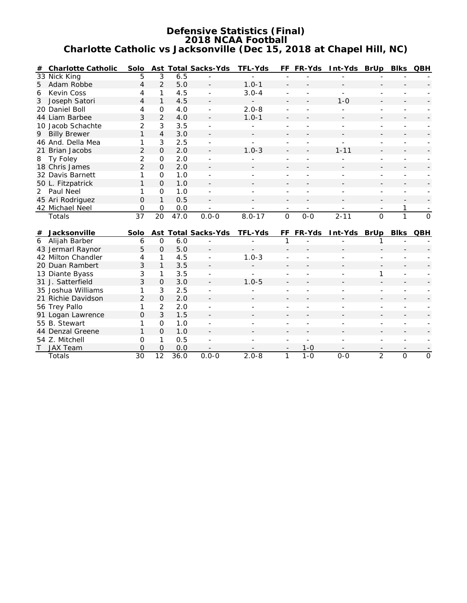#### **Defensive Statistics (Final) 2018 NCAA Football Charlotte Catholic vs Jacksonville (Dec 15, 2018 at Chapel Hill, NC)**

| #              | Charlotte Catholic        | Solo            |                |             | Ast Total Sacks-Yds                   | TFL-Yds                               |                               | FF FR-Yds                | Int-Yds BrUp                      |                                            | Blks                                       | QBH                                      |
|----------------|---------------------------|-----------------|----------------|-------------|---------------------------------------|---------------------------------------|-------------------------------|--------------------------|-----------------------------------|--------------------------------------------|--------------------------------------------|------------------------------------------|
|                | 33 Nick King              | 5               | 3              | 6.5         |                                       |                                       |                               |                          |                                   |                                            |                                            |                                          |
| 5              | Adam Robbe                | $\overline{4}$  | 2              | 5.0         | $\sim$                                | $1.0 - 1$                             |                               |                          |                                   |                                            |                                            |                                          |
| 6              | Kevin Coss                | 4               | 1              | 4.5         | ÷.                                    | $3.0 - 4$                             | $\overline{\phantom{a}}$      |                          | $\overline{\phantom{a}}$          | ÷                                          |                                            |                                          |
| 3              | Joseph Satori             | $\overline{4}$  | $\mathbf{1}$   | 4.5         |                                       |                                       |                               |                          | $1 - 0$                           |                                            |                                            |                                          |
|                | 20 Daniel Boll            | 4               | $\Omega$       | 4.0         |                                       | $2.0 - 8$                             |                               |                          |                                   |                                            |                                            |                                          |
|                | 44 Liam Barbee            | 3               | $\overline{2}$ | 4.0         |                                       | $1.0 - 1$                             |                               |                          |                                   |                                            |                                            |                                          |
|                | 10 Jacob Schachte         | $\overline{2}$  | 3              | 3.5         |                                       |                                       |                               |                          |                                   |                                            |                                            |                                          |
| 9              | <b>Billy Brewer</b>       | 1               | $\overline{4}$ | 3.0         |                                       |                                       |                               |                          |                                   |                                            |                                            |                                          |
|                | 46 And. Della Mea         | 1               | 3              | 2.5         |                                       |                                       |                               |                          |                                   |                                            |                                            |                                          |
|                | 21 Brian Jacobs           | $\overline{2}$  | $\overline{O}$ | 2.0         |                                       | $1.0 - 3$                             |                               |                          | $1 - 11$                          |                                            |                                            |                                          |
| 8              | Ty Foley                  | 2               | $\mathbf 0$    | 2.0         |                                       |                                       |                               |                          |                                   |                                            |                                            |                                          |
|                | 18 Chris James            | $\overline{2}$  | $\Omega$       | 2.0         |                                       |                                       |                               |                          |                                   |                                            |                                            |                                          |
|                | 32 Davis Barnett          | 1               | $\mathbf 0$    | 1.0         |                                       |                                       |                               |                          |                                   |                                            |                                            |                                          |
|                | 50 L. Fitzpatrick         | 1               | $\overline{O}$ | 1.0         |                                       |                                       |                               |                          |                                   |                                            |                                            |                                          |
| $\overline{2}$ | Paul Neel                 | 1               | $\mathbf{O}$   | 1.0         |                                       |                                       |                               |                          |                                   |                                            |                                            |                                          |
|                | 45 Ari Rodriguez          | $\Omega$        | 1              | 0.5         |                                       |                                       | $\overline{\phantom{a}}$      |                          |                                   | $\overline{\phantom{a}}$                   |                                            |                                          |
|                | 42 Michael Neel           | 0               | 0              | 0.0         |                                       |                                       | $\overline{\phantom{a}}$      | $\overline{\phantom{a}}$ |                                   | $\overline{\phantom{a}}$                   | 1                                          |                                          |
|                |                           |                 |                |             |                                       |                                       |                               |                          |                                   |                                            |                                            |                                          |
|                | Totals                    | $\overline{37}$ | 20             | 47.0        | $0.0 - 0$                             | $8.0 - 17$                            | $\overline{O}$                | $0-0$                    | $2 - 11$                          | $\overline{O}$                             | $\mathbf{1}$                               | $\mathbf{O}$                             |
|                |                           |                 |                |             |                                       |                                       |                               |                          |                                   |                                            |                                            |                                          |
|                | # Jacksonville            | Solo            |                |             | Ast Total Sacks-Yds                   | TFL-Yds                               | FF                            | FR-Yds                   | Int-Yds BrUp                      |                                            | <b>Blks</b>                                | QBH                                      |
| 6              | Alijah Barber             | 6               | $\mathsf{O}$   | 6.0         |                                       |                                       | 1                             |                          |                                   | 1                                          |                                            |                                          |
|                | 43 Jermarl Raynor         | 5               | $\Omega$       | 5.0         |                                       |                                       |                               |                          |                                   |                                            |                                            |                                          |
|                | 42 Milton Chandler        | 4               | 1              | 4.5         |                                       | $1.0 - 3$                             |                               |                          |                                   |                                            |                                            |                                          |
|                | 20 Duan Rambert           | 3               | $\mathbf{1}$   | 3.5         |                                       |                                       |                               |                          |                                   |                                            |                                            |                                          |
|                | 13 Diante Byass           | 3               | 1              | 3.5         |                                       |                                       |                               |                          |                                   | 1                                          |                                            |                                          |
|                | 31 J. Satterfield         | 3               | $\overline{O}$ | 3.0         |                                       | $1.0 - 5$                             |                               |                          |                                   |                                            |                                            |                                          |
|                | 35 Joshua Williams        | 1               | 3              | 2.5         |                                       |                                       |                               |                          |                                   |                                            |                                            |                                          |
|                | 21 Richie Davidson        | $\overline{2}$  | $\Omega$       | 2.0         |                                       |                                       |                               |                          |                                   |                                            |                                            |                                          |
|                | 56 Trey Pallo             | 1               | $\overline{2}$ | 2.0         |                                       |                                       |                               |                          |                                   |                                            |                                            |                                          |
|                | 91 Logan Lawrence         | $\Omega$        | 3              | 1.5         |                                       |                                       |                               |                          |                                   |                                            |                                            |                                          |
|                | 55 B. Stewart             | 1               | $\overline{O}$ | 1.0         | $\blacksquare$                        |                                       |                               |                          |                                   |                                            |                                            |                                          |
|                | 44 Denzal Greene          | 1               | $\overline{O}$ | 1.0         |                                       |                                       |                               |                          |                                   |                                            |                                            |                                          |
|                | 54 Z. Mitchell            | O               | 1              | 0.5         |                                       |                                       |                               | ٠                        |                                   | $\overline{a}$                             | ÷                                          |                                          |
| $\mathsf{T}$   | <b>JAX Team</b><br>Totals | O<br>30         | $\Omega$<br>12 | 0.0<br>36.0 | $\overline{\phantom{a}}$<br>$0.0 - 0$ | $\overline{\phantom{a}}$<br>$2.0 - 8$ | $\overline{\phantom{a}}$<br>1 | $1 - 0$<br>$1 - 0$       | $\overline{\phantom{a}}$<br>$O-O$ | $\overline{\phantom{a}}$<br>$\overline{2}$ | $\overline{\phantom{a}}$<br>$\overline{O}$ | $\overline{\phantom{a}}$<br>$\mathsf{O}$ |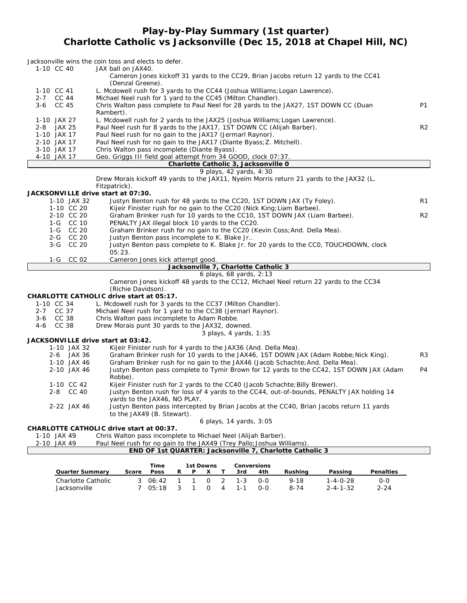### **Play-by-Play Summary (1st quarter) Charlotte Catholic vs Jacksonville (Dec 15, 2018 at Chapel Hill, NC)**

| 1-10 CC 40                         | Jacksonville wins the coin toss and elects to defer.<br>JAX ball on JAX40.                                               |                |
|------------------------------------|--------------------------------------------------------------------------------------------------------------------------|----------------|
|                                    | Cameron Jones kickoff 31 yards to the CC29, Brian Jacobs return 12 yards to the CC41                                     |                |
|                                    | (Denzal Greene).                                                                                                         |                |
| 1-10 CC 41                         | L. Mcdowell rush for 3 yards to the CC44 (Joshua Williams; Logan Lawrence).                                              |                |
| 2-7 CC 44<br>CC 45                 | Michael Neel rush for 1 yard to the CC45 (Milton Chandler).                                                              | <b>P1</b>      |
| $3-6$                              | Chris Walton pass complete to Paul Neel for 28 yards to the JAX27, 1ST DOWN CC (Duan<br>Rambert).                        |                |
| 1-10 JAX 27                        | L. Mcdowell rush for 2 yards to the JAX25 (Joshua Williams; Logan Lawrence).                                             |                |
| 2-8 JAX 25                         | Paul Neel rush for 8 yards to the JAX17, 1ST DOWN CC (Alijah Barber).                                                    | R <sub>2</sub> |
| 1-10 JAX 17                        | Paul Neel rush for no gain to the JAX17 (Jermarl Raynor).                                                                |                |
| 2-10 JAX 17                        | Paul Neel rush for no gain to the JAX17 (Diante Byass; Z. Mitchell).                                                     |                |
| 3-10 JAX 17                        | Chris Walton pass incomplete (Diante Byass).                                                                             |                |
| 4-10 JAX 17                        | Geo. Griggs III field goal attempt from 34 GOOD, clock 07:37.                                                            |                |
|                                    | Charlotte Catholic 3, Jacksonville 0                                                                                     |                |
|                                    | 9 plays, 42 yards, 4:30                                                                                                  |                |
|                                    | Drew Morais kickoff 49 yards to the JAX11, Nyeim Morris return 21 yards to the JAX32 (L.                                 |                |
| JACKSONVILLE drive start at 07:30. | Fitzpatrick).                                                                                                            |                |
| 1-10 JAX 32                        | Justyn Benton rush for 48 yards to the CC20, 1ST DOWN JAX (Ty Foley).                                                    | R1             |
| 1-10 CC 20                         | Kijeir Finister rush for no gain to the CC20 (Nick King; Liam Barbee).                                                   |                |
| 2-10 CC 20                         | Graham Brinker rush for 10 yards to the CC10, 1ST DOWN JAX (Liam Barbee).                                                | R <sub>2</sub> |
| 1-G CC 10                          | PENALTY JAX illegal block 10 yards to the CC20.                                                                          |                |
| 1-G CC 20                          | Graham Brinker rush for no gain to the CC20 (Kevin Coss; And. Della Mea).                                                |                |
| 2-G CC 20                          | Justyn Benton pass incomplete to K. Blake Jr                                                                             |                |
| 3-G CC 20                          | Justyn Benton pass complete to K. Blake Jr. for 20 yards to the CCO, TOUCHDOWN, clock                                    |                |
|                                    | 05:23.                                                                                                                   |                |
| $1-G$<br>CC 02                     | Cameron Jones kick attempt good.                                                                                         |                |
|                                    |                                                                                                                          |                |
|                                    | Jacksonville 7, Charlotte Catholic 3                                                                                     |                |
|                                    | 6 plays, 68 yards, 2:13                                                                                                  |                |
|                                    | Cameron Jones kickoff 48 yards to the CC12, Michael Neel return 22 yards to the CC34                                     |                |
|                                    | (Richie Davidson).                                                                                                       |                |
|                                    | CHARLOTTE CATHOLIC drive start at 05:17.                                                                                 |                |
| 1-10 CC 34                         | L. Mcdowell rush for 3 yards to the CC37 (Milton Chandler).                                                              |                |
| 2-7 CC 37                          | Michael Neel rush for 1 yard to the CC38 (Jermarl Raynor).                                                               |                |
| 3-6 CC 38                          | Chris Walton pass incomplete to Adam Robbe.                                                                              |                |
| $4 - 6$<br>CC 38                   | Drew Morais punt 30 yards to the JAX32, downed.                                                                          |                |
|                                    | 3 plays, 4 yards, 1:35                                                                                                   |                |
| JACKSONVILLE drive start at 03:42. |                                                                                                                          |                |
| 1-10 JAX 32                        | Kijeir Finister rush for 4 yards to the JAX36 (And. Della Mea).                                                          |                |
| 2-6 JAX 36                         | Graham Brinker rush for 10 yards to the JAX46, 1ST DOWN JAX (Adam Robbe; Nick King).                                     | R <sub>3</sub> |
| 1-10 JAX 46                        | Graham Brinker rush for no gain to the JAX46 (Jacob Schachte; And. Della Mea).                                           |                |
| 2-10 JAX 46                        | Justyn Benton pass complete to Tymir Brown for 12 yards to the CC42, 1ST DOWN JAX (Adam                                  | P <sub>4</sub> |
|                                    | Robbe).                                                                                                                  |                |
| 1-10 CC 42<br>2-8 CC 40            | Kijeir Finister rush for 2 yards to the CC40 (Jacob Schachte; Billy Brewer).                                             |                |
|                                    | Justyn Benton rush for loss of 4 yards to the CC44, out-of-bounds, PENALTY JAX holding 14                                |                |
| 2-22 JAX 46                        | yards to the JAX46, NO PLAY.<br>Justyn Benton pass intercepted by Brian Jacobs at the CC40, Brian Jacobs return 11 yards |                |
|                                    | to the JAX49 (B. Stewart).                                                                                               |                |
|                                    | 6 plays, 14 yards, 3:05                                                                                                  |                |
|                                    | CHARLOTTE CATHOLIC drive start at 00:37.                                                                                 |                |
| 1-10 JAX 49                        | Chris Walton pass incomplete to Michael Neel (Alijah Barber).                                                            |                |
| 2-10 JAX 49                        | Paul Neel rush for no gain to the JAX49 (Trey Pallo; Joshua Williams).                                                   |                |
|                                    | END OF 1st QUARTER: Jacksonville 7, Charlotte Catholic 3                                                                 |                |

|                    |       | Time  |   | 1st Downs |                | Conversions |     |          |                  |                  |
|--------------------|-------|-------|---|-----------|----------------|-------------|-----|----------|------------------|------------------|
| Quarter Summarv    | Score | Poss  | R |           |                | 3rd         | 4th | Rushina  | Passing          | <b>Penalties</b> |
| Charlotte Catholic |       | 06.42 |   |           | $\overline{2}$ | $1 - 3$     | റ-റ | $9 - 18$ | 1-4-0-28         | 0-0              |
| Jacksonville       |       | 05:18 |   |           | 4              | $1 - 1$     | റ-റ | $8 - 74$ | $2 - 4 - 1 - 32$ | $2 - 24$         |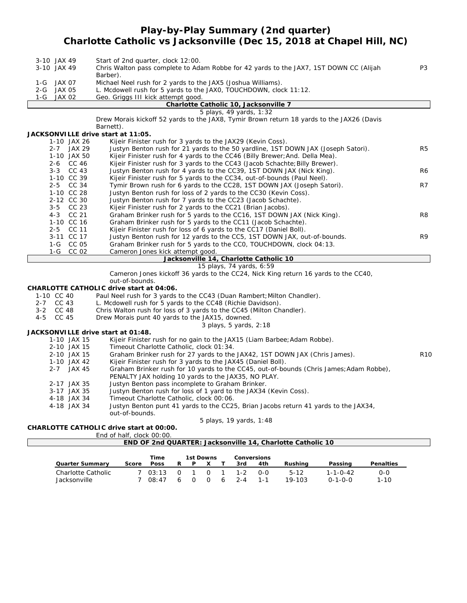# **Play-by-Play Summary (2nd quarter) Charlotte Catholic vs Jacksonville (Dec 15, 2018 at Chapel Hill, NC)**

|         | 3-10 JAX 49      | Start of 2nd quarter, clock 12:00.                                                                                                                     |                 |
|---------|------------------|--------------------------------------------------------------------------------------------------------------------------------------------------------|-----------------|
|         | 3-10 JAX 49      | Chris Walton pass complete to Adam Robbe for 42 yards to the JAX7, 1ST DOWN CC (Alijah                                                                 | P3              |
|         |                  | Barber).                                                                                                                                               |                 |
|         | 1-G JAX 07       | Michael Neel rush for 2 yards to the JAX5 (Joshua Williams).                                                                                           |                 |
| 2-G     | JAX 05           | L. Mcdowell rush for 5 yards to the JAXO, TOUCHDOWN, clock 11:12.                                                                                      |                 |
| $1-G$   | <b>JAX 02</b>    | Geo. Griggs III kick attempt good.                                                                                                                     |                 |
|         |                  | Charlotte Catholic 10, Jacksonville 7                                                                                                                  |                 |
|         |                  | 5 plays, 49 yards, 1:32                                                                                                                                |                 |
|         |                  | Drew Morais kickoff 52 yards to the JAX8, Tymir Brown return 18 yards to the JAX26 (Davis                                                              |                 |
|         |                  | Barnett).                                                                                                                                              |                 |
|         |                  | JACKSONVILLE drive start at 11:05.                                                                                                                     |                 |
|         | 1-10 JAX 26      | Kijeir Finister rush for 3 yards to the JAX29 (Kevin Coss).                                                                                            |                 |
|         | 2-7 JAX 29       | Justyn Benton rush for 21 yards to the 50 yardline, 1ST DOWN JAX (Joseph Satori).                                                                      | R5              |
|         | 1-10 JAX 50      | Kijeir Finister rush for 4 yards to the CC46 (Billy Brewer; And. Della Mea).                                                                           |                 |
|         | 2-6 CC 46        | Kijeir Finister rush for 3 yards to the CC43 (Jacob Schachte; Billy Brewer).                                                                           |                 |
|         | 3-3 CC 43        | Justyn Benton rush for 4 yards to the CC39, 1ST DOWN JAX (Nick King).                                                                                  | R6              |
|         | 1-10 CC 39       | Kijeir Finister rush for 5 yards to the CC34, out-of-bounds (Paul Neel).                                                                               |                 |
|         | 2-5 CC 34        | Tymir Brown rush for 6 yards to the CC28, 1ST DOWN JAX (Joseph Satori).                                                                                | R7              |
|         | 1-10 CC 28       | Justyn Benton rush for loss of 2 yards to the CC30 (Kevin Coss).                                                                                       |                 |
|         | 2-12 CC 30       | Justyn Benton rush for 7 yards to the CC23 (Jacob Schachte).                                                                                           |                 |
|         | 3-5 CC 23        | Kijeir Finister rush for 2 yards to the CC21 (Brian Jacobs).                                                                                           |                 |
|         | CC 21<br>$4 - 3$ | Graham Brinker rush for 5 yards to the CC16, 1ST DOWN JAX (Nick King).                                                                                 | R <sub>8</sub>  |
|         | 1-10 CC 16       | Graham Brinker rush for 5 yards to the CC11 (Jacob Schachte).                                                                                          |                 |
|         | CC 11<br>$2 - 5$ | Kijeir Finister rush for loss of 6 yards to the CC17 (Daniel Boll).                                                                                    |                 |
|         | 3-11 CC 17       | Justyn Benton rush for 12 yards to the CC5, 1ST DOWN JAX, out-of-bounds.                                                                               | R <sub>9</sub>  |
|         | 1-G CC 05        | Graham Brinker rush for 5 yards to the CCO, TOUCHDOWN, clock 04:13.                                                                                    |                 |
|         | $1-G$<br>CC 02   | Cameron Jones kick attempt good.                                                                                                                       |                 |
|         |                  | Jacksonville 14, Charlotte Catholic 10                                                                                                                 |                 |
|         |                  | 15 plays, 74 yards, 6:59                                                                                                                               |                 |
|         |                  | Cameron Jones kickoff 36 yards to the CC24, Nick King return 16 yards to the CC40,                                                                     |                 |
|         |                  | out-of-bounds.                                                                                                                                         |                 |
|         |                  | CHARLOTTE CATHOLIC drive start at 04:06.                                                                                                               |                 |
|         | 1-10 CC 40       | Paul Neel rush for 3 yards to the CC43 (Duan Rambert; Milton Chandler).                                                                                |                 |
|         | 2-7 CC 43        | L. Mcdowell rush for 5 yards to the CC48 (Richie Davidson).                                                                                            |                 |
|         | 3-2 CC 48        | Chris Walton rush for loss of 3 yards to the CC45 (Milton Chandler).                                                                                   |                 |
| $4 - 5$ | CC 45            | Drew Morais punt 40 yards to the JAX15, downed.                                                                                                        |                 |
|         |                  | 3 plays, 5 yards, 2:18                                                                                                                                 |                 |
|         |                  | JACKSONVILLE drive start at 01:48.                                                                                                                     |                 |
|         | 1-10 JAX 15      | Kijeir Finister rush for no gain to the JAX15 (Liam Barbee; Adam Robbe).                                                                               |                 |
|         | 2-10 JAX 15      | Timeout Charlotte Catholic, clock 01:34.                                                                                                               |                 |
|         | 2-10 JAX 15      | Graham Brinker rush for 27 yards to the JAX42, 1ST DOWN JAX (Chris James).                                                                             | R <sub>10</sub> |
|         | 1-10 JAX 42      |                                                                                                                                                        |                 |
|         | 2-7 JAX 45       | Kijeir Finister rush for 3 yards to the JAX45 (Daniel Boll).<br>Graham Brinker rush for 10 yards to the CC45, out-of-bounds (Chris James; Adam Robbe), |                 |
|         |                  | PENALTY JAX holding 10 yards to the JAX35, NO PLAY.                                                                                                    |                 |
|         |                  |                                                                                                                                                        |                 |
|         | 2-17 JAX 35      | Justyn Benton pass incomplete to Graham Brinker.                                                                                                       |                 |

- 3-17 JAX 35 Justyn Benton rush for loss of 1 yard to the JAX34 (Kevin Coss).<br>4-18 JAX 34 Timeout Charlotte Catholic, clock 00:06.
- Timeout Charlotte Catholic, clock 00:06.
	- 4-18 JAX 34 Justyn Benton punt 41 yards to the CC25, Brian Jacobs return 41 yards to the JAX34, out-of-bounds.

*5 plays, 19 yards, 1:48*

**CHARLOTTE CATHOLIC drive start at 00:00.**

| End of half, clock 00:00. |  |
|---------------------------|--|
|                           |  |

|                    |       |             |   |                                     |           |   |         |             | END OF 2nd QUARTER: Jacksonville 14, Charlotte Catholic 10 |                 |           |  |
|--------------------|-------|-------------|---|-------------------------------------|-----------|---|---------|-------------|------------------------------------------------------------|-----------------|-----------|--|
|                    |       |             |   |                                     |           |   |         |             |                                                            |                 |           |  |
|                    |       | Time        |   |                                     | 1st Downs |   |         | Conversions |                                                            |                 |           |  |
| Quarter Summary    | Score | <b>Poss</b> | R |                                     |           |   | 3rd     | 4th         | Rushing                                                    | Passing         | Penalties |  |
| Charlotte Catholic |       | 703:13      |   | $\begin{matrix} 0 & 1 \end{matrix}$ |           |   | $1 - 2$ | 0-0         | $5 - 12$                                                   | 1-1-0-42        | 0-0       |  |
| Jacksonville       |       | 08:47       |   |                                     |           | ĥ | $2 - 4$ | $1 - 1$     | 19-103                                                     | $0 - 1 - 0 - 0$ | $1 - 10$  |  |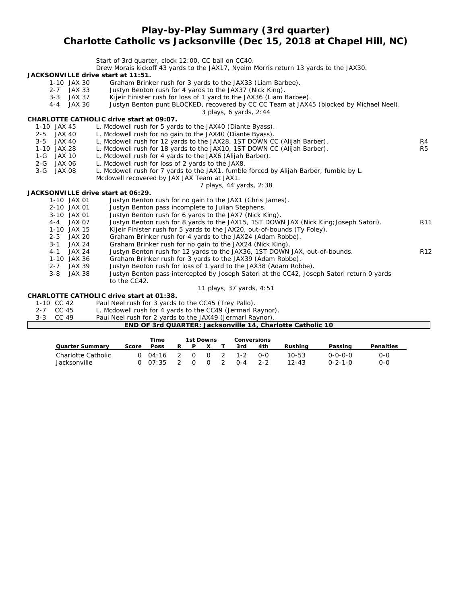#### **Play-by-Play Summary (3rd quarter) Charlotte Catholic vs Jacksonville (Dec 15, 2018 at Chapel Hill, NC)**

|                   | Start of 3rd quarter, clock 12:00, CC ball on CC40.                                                                         |
|-------------------|-----------------------------------------------------------------------------------------------------------------------------|
|                   | Drew Morais kickoff 43 yards to the JAX17, Nyeim Morris return 13 yards to the JAX30.                                       |
|                   | JACKSONVILLE drive start at 11:51.                                                                                          |
| 1-10 JAX 30       | Graham Brinker rush for 3 yards to the JAX33 (Liam Barbee).                                                                 |
| $2 - 7$           | Justyn Benton rush for 4 yards to the JAX37 (Nick King).<br>JAX 33                                                          |
| $3 - 3$           | Kijeir Finister rush for loss of 1 yard to the JAX36 (Liam Barbee).<br>JAX 37                                               |
| $4 - 4$           | Justyn Benton punt BLOCKED, recovered by CC CC Team at JAX45 (blocked by Michael Neel).<br>JAX 36<br>3 plays, 6 yards, 2:44 |
|                   | CHARLOTTE CATHOLIC drive start at 09:07.                                                                                    |
| 1-10 JAX 45       | L. Mcdowell rush for 5 yards to the JAX40 (Diante Byass).                                                                   |
| 2-5 JAX 40        | L. Mcdowell rush for no gain to the JAX40 (Diante Byass).                                                                   |
| $3 - 5$<br>JAX 40 | L. Mcdowell rush for 12 yards to the JAX28, 1ST DOWN CC (Alijah Barber).<br>R4                                              |
| 1-10 JAX 28       | L. Mcdowell rush for 18 yards to the JAX10, 1ST DOWN CC (Alijah Barber).<br>R <sub>5</sub>                                  |
| $1-G$<br>JAX 10   | L. Mcdowell rush for 4 yards to the JAX6 (Alijah Barber).                                                                   |
| 2-G JAX 06        | L. Mcdowell rush for loss of 2 yards to the JAX8.                                                                           |
| $3-G$<br>JAX 08   | L. Mcdowell rush for 7 yards to the JAX1, fumble forced by Alijah Barber, fumble by L.                                      |
|                   | Mcdowell recovered by JAX JAX Team at JAX1.                                                                                 |
|                   | 7 plays, 44 yards, 2:38                                                                                                     |
|                   | JACKSONVILLE drive start at 06:29.                                                                                          |
| 1-10 JAX 01       | Justyn Benton rush for no gain to the JAX1 (Chris James).                                                                   |
| 2-10 JAX 01       | Justyn Benton pass incomplete to Julian Stephens.                                                                           |
| 3-10 JAX 01       | Justyn Benton rush for 6 yards to the JAX7 (Nick King).                                                                     |
| 4-4 JAX 07        | Justyn Benton rush for 8 yards to the JAX15, 1ST DOWN JAX (Nick King; Joseph Satori).<br>R <sub>11</sub>                    |
| 1-10 JAX 15       | Kijeir Finister rush for 5 yards to the JAX20, out-of-bounds (Ty Foley).                                                    |
| $2 - 5$           | Graham Brinker rush for 4 yards to the JAX24 (Adam Robbe).<br>JAX 20                                                        |
| $3 - 1$           | Graham Brinker rush for no gain to the JAX24 (Nick King).<br><b>JAX 24</b>                                                  |
| $4 - 1$           | R <sub>12</sub><br>Justyn Benton rush for 12 yards to the JAX36, 1ST DOWN JAX, out-of-bounds.<br><b>JAX 24</b>              |
| 1-10 JAX 36       | Graham Brinker rush for 3 yards to the JAX39 (Adam Robbe).                                                                  |
| 2-7 JAX 39        | Justyn Benton rush for loss of 1 yard to the JAX38 (Adam Robbe).                                                            |
| $3 - 8$           | Justyn Benton pass intercepted by Joseph Satori at the CC42, Joseph Satori return 0 yards<br><b>JAX 38</b>                  |
|                   | to the CC42.                                                                                                                |
|                   | 11 plays, 37 yards, 4:51                                                                                                    |
|                   | CHARLOTTE CATHOLIC drive start at 01:38.                                                                                    |
| 1-10 CC 42        | Paul Neel rush for 3 yards to the CC45 (Trey Pallo).                                                                        |
| 2-7 CC 45         | L. Mcdowell rush for 4 yards to the CC49 (Jermarl Raynor).                                                                  |
| $3 - 3$<br>CC 49  | Paul Neel rush for 2 yards to the JAX49 (Jermarl Raynor)                                                                    |
|                   | END OF 3rd QUARTER: Jacksonville 14, Charlotte Catholic 10                                                                  |

|                    |       | Time    |   |   | 1st Downs |   |         | Conversions |           |                 |           |
|--------------------|-------|---------|---|---|-----------|---|---------|-------------|-----------|-----------------|-----------|
| Quarter Summary    | Score | Poss    | R | P |           |   | 3rd     | 4th         | Rushina   | Passing         | Penalties |
| Charlotte Catholic |       | 0.04:16 |   |   | $\Omega$  | 2 | $1 - 2$ | $O-O$       | $10 - 53$ | 0-0-0-0         | 0-0       |
| Jacksonville       |       | 0.07:35 |   |   | $\Omega$  |   | $0 - 4$ | $2 - 2$     | $12 - 43$ | $0 - 2 - 1 - 0$ | 0-0       |